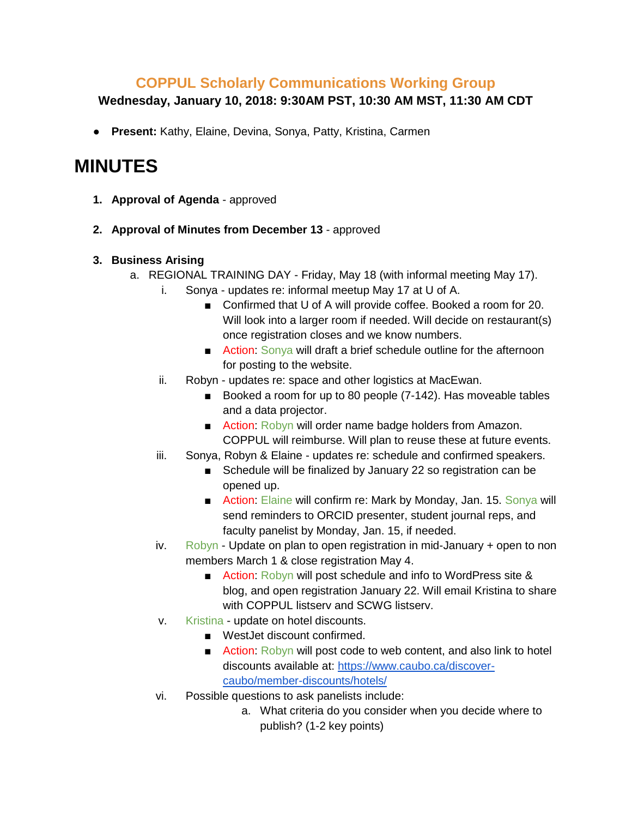## **COPPUL Scholarly Communications Working Group**

### **Wednesday, January 10, 2018: 9:30AM PST, 10:30 AM MST, 11:30 AM CDT**

● **Present:** Kathy, Elaine, Devina, Sonya, Patty, Kristina, Carmen

# **MINUTES**

- **1. Approval of Agenda** approved
- **2. Approval of Minutes from December 13**  approved

#### **3. Business Arising**

- a. REGIONAL TRAINING DAY Friday, May 18 (with informal meeting May 17).
	- i. Sonya updates re: informal meetup May 17 at U of A.
		- Confirmed that U of A will provide coffee. Booked a room for 20. Will look into a larger room if needed. Will decide on restaurant(s) once registration closes and we know numbers.
		- Action: Sonya will draft a brief schedule outline for the afternoon for posting to the website.
	- ii. Robyn updates re: space and other logistics at MacEwan.
		- Booked a room for up to 80 people (7-142). Has moveable tables and a data projector.
		- Action: Robyn will order name badge holders from Amazon. COPPUL will reimburse. Will plan to reuse these at future events.
	- iii. Sonya, Robyn & Elaine updates re: schedule and confirmed speakers.
		- Schedule will be finalized by January 22 so registration can be opened up.
		- Action: Elaine will confirm re: Mark by Monday, Jan. 15. Sonya will send reminders to ORCID presenter, student journal reps, and faculty panelist by Monday, Jan. 15, if needed.
	- iv. Robyn Update on plan to open registration in mid-January  $+$  open to non members March 1 & close registration May 4.
		- Action: Robyn will post schedule and info to WordPress site & blog, and open registration January 22. Will email Kristina to share with COPPUL listserv and SCWG listserv.
	- v. Kristina update on hotel discounts.
		- WestJet discount confirmed.
		- Action: Robyn will post code to web content, and also link to hotel discounts available at: [https://www.caubo.ca/discover](https://www.caubo.ca/discover-caubo/member-discounts/hotels/)[caubo/member-discounts/hotels/](https://www.caubo.ca/discover-caubo/member-discounts/hotels/)
	- vi. Possible questions to ask panelists include:
		- a. What criteria do you consider when you decide where to publish? (1-2 key points)